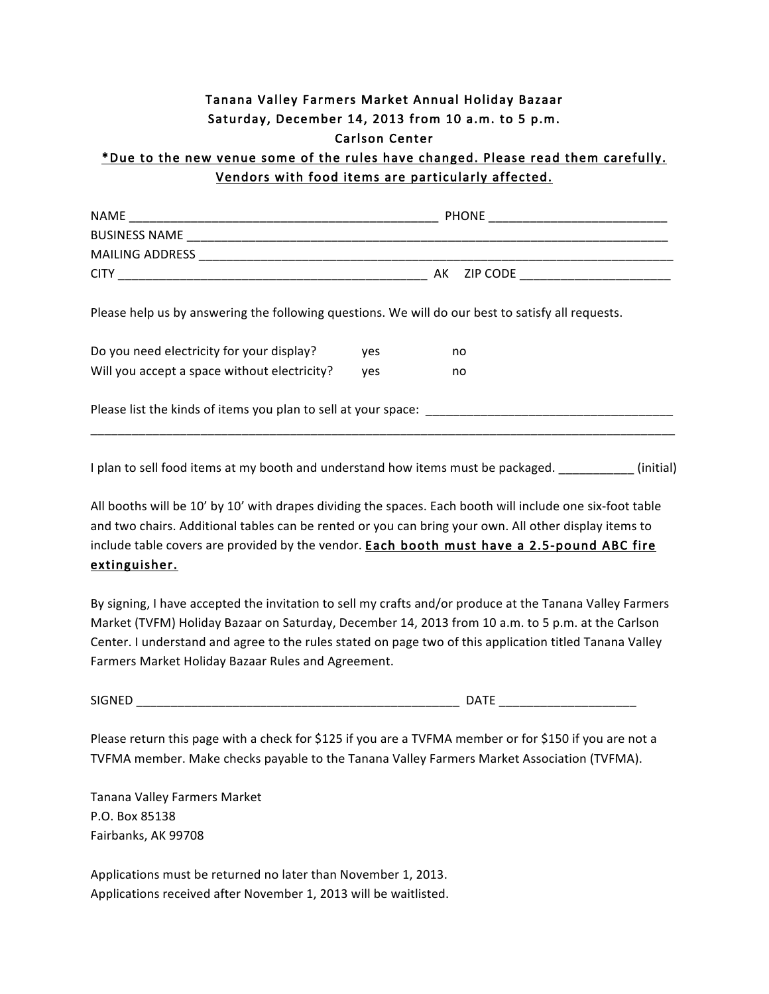## Tanana Valley Farmers Market Annual Holiday Bazaar Saturday, December 14, 2013 from 10 a.m. to 5 p.m. Carlson Center

## \*Due to the new venue some of the rules have changed. Please read them carefully. Vendors with food items are particularly affected.

| <b>NAME</b>          | <b>PHONE</b> |
|----------------------|--------------|
| <b>BUSINESS NAME</b> |              |
| MAILING ADDRESS      |              |
| CIT)                 | AK ZIP CODE  |
|                      |              |

Please help us by answering the following questions. We will do our best to satisfy all requests.

| Do you need electricity for your display?    | ves | no |
|----------------------------------------------|-----|----|
| Will you accept a space without electricity? | ves | no |

Please list the kinds of items you plan to sell at your space: \_\_\_\_\_\_\_\_\_\_\_\_\_\_\_\_\_\_\_\_\_\_\_\_\_\_\_\_\_\_\_\_\_\_\_\_

I plan to sell food items at my booth and understand how items must be packaged. (initial)

\_\_\_\_\_\_\_\_\_\_\_\_\_\_\_\_\_\_\_\_\_\_\_\_\_\_\_\_\_\_\_\_\_\_\_\_\_\_\_\_\_\_\_\_\_\_\_\_\_\_\_\_\_\_\_\_\_\_\_\_\_\_\_\_\_\_\_\_\_\_\_\_\_\_\_\_\_\_\_\_\_\_\_\_\_

All booths will be 10' by 10' with drapes dividing the spaces. Each booth will include one six-foot table and two chairs. Additional tables can be rented or you can bring your own. All other display items to include table covers are provided by the vendor. Each booth must have a 2.5-pound ABC fire extinguisher. 

By signing, I have accepted the invitation to sell my crafts and/or produce at the Tanana Valley Farmers Market (TVFM) Holiday Bazaar on Saturday, December 14, 2013 from 10 a.m. to 5 p.m. at the Carlson Center. I understand and agree to the rules stated on page two of this application titled Tanana Valley Farmers Market Holiday Bazaar Rules and Agreement.

SIGNED \_\_\_\_\_\_\_\_\_\_\_\_\_\_\_\_\_\_\_\_\_\_\_\_\_\_\_\_\_\_\_\_\_\_\_\_\_\_\_\_\_\_\_\_\_\_\_ DATE \_\_\_\_\_\_\_\_\_\_\_\_\_\_\_\_\_\_\_\_

Please return this page with a check for \$125 if you are a TVFMA member or for \$150 if you are not a TVFMA member. Make checks payable to the Tanana Valley Farmers Market Association (TVFMA).

Tanana Valley Farmers Market P.O. Box 85138 Fairbanks, AK 99708

Applications must be returned no later than November 1, 2013. Applications received after November 1, 2013 will be waitlisted.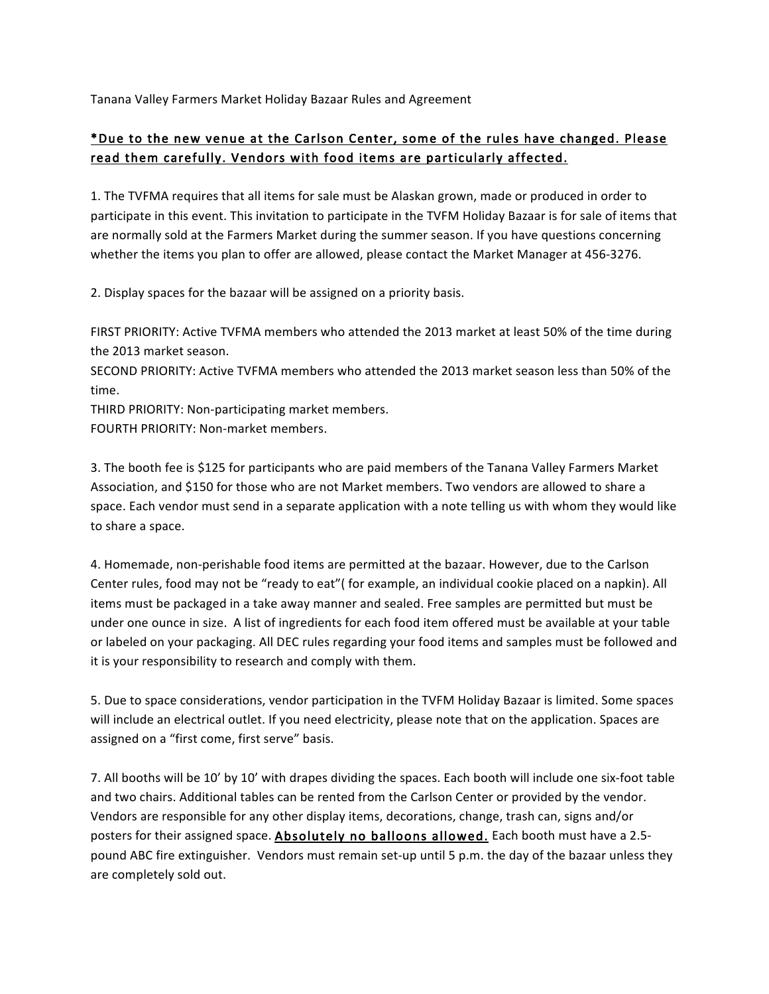Tanana Valley Farmers Market Holiday Bazaar Rules and Agreement

## \*Due to the new venue at the Carlson Center, some of the rules have changed. Please read them carefully. Vendors with food items are particularly affected.

1. The TVFMA requires that all items for sale must be Alaskan grown, made or produced in order to participate in this event. This invitation to participate in the TVFM Holiday Bazaar is for sale of items that are normally sold at the Farmers Market during the summer season. If you have questions concerning whether the items you plan to offer are allowed, please contact the Market Manager at 456-3276.

2. Display spaces for the bazaar will be assigned on a priority basis.

FIRST PRIORITY: Active TVFMA members who attended the 2013 market at least 50% of the time during the 2013 market season.

SECOND PRIORITY: Active TVFMA members who attended the 2013 market season less than 50% of the time.

THIRD PRIORITY: Non-participating market members.

FOURTH PRIORITY: Non-market members.

3. The booth fee is \$125 for participants who are paid members of the Tanana Valley Farmers Market Association, and \$150 for those who are not Market members. Two vendors are allowed to share a space. Each vendor must send in a separate application with a note telling us with whom they would like to share a space.

4. Homemade, non-perishable food items are permitted at the bazaar. However, due to the Carlson Center rules, food may not be "ready to eat"( for example, an individual cookie placed on a napkin). All items must be packaged in a take away manner and sealed. Free samples are permitted but must be under one ounce in size. A list of ingredients for each food item offered must be available at your table or labeled on your packaging. All DEC rules regarding your food items and samples must be followed and it is your responsibility to research and comply with them.

5. Due to space considerations, vendor participation in the TVFM Holiday Bazaar is limited. Some spaces will include an electrical outlet. If you need electricity, please note that on the application. Spaces are assigned on a "first come, first serve" basis.

7. All booths will be 10' by 10' with drapes dividing the spaces. Each booth will include one six-foot table and two chairs. Additional tables can be rented from the Carlson Center or provided by the vendor. Vendors are responsible for any other display items, decorations, change, trash can, signs and/or posters for their assigned space. Absolutely no balloons allowed. Each booth must have a 2.5pound ABC fire extinguisher. Vendors must remain set-up until 5 p.m. the day of the bazaar unless they are completely sold out.